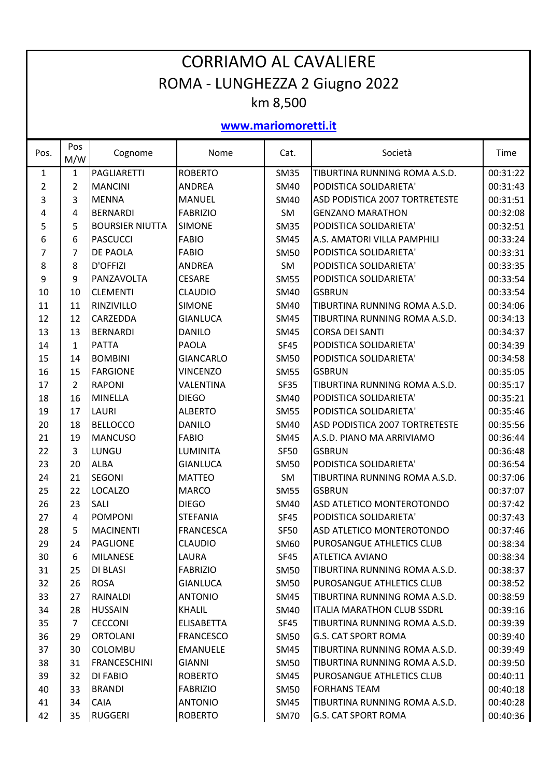## CORRIAMO AL CAVALIERE ROMA ‐ LUNGHEZZA 2 Giugno 2022 km 8,500

**www.mariomoretti.it**

| Pos. | Pos<br>M/W     | Cognome                | Nome              | Cat.        | Società                           | Time     |
|------|----------------|------------------------|-------------------|-------------|-----------------------------------|----------|
| 1    | 1              | PAGLIARETTI            | <b>ROBERTO</b>    | <b>SM35</b> | TIBURTINA RUNNING ROMA A.S.D.     | 00:31:22 |
| 2    | 2              | <b>MANCINI</b>         | <b>ANDREA</b>     | <b>SM40</b> | PODISTICA SOLIDARIETA'            | 00:31:43 |
| 3    | 3              | <b>MENNA</b>           | <b>MANUEL</b>     | <b>SM40</b> | ASD PODISTICA 2007 TORTRETESTE    | 00:31:51 |
| 4    | 4              | <b>BERNARDI</b>        | <b>FABRIZIO</b>   | SM          | <b>GENZANO MARATHON</b>           | 00:32:08 |
| 5    | 5              | <b>BOURSIER NIUTTA</b> | <b>SIMONE</b>     | <b>SM35</b> | PODISTICA SOLIDARIETA'            | 00:32:51 |
| 6    | 6              | <b>PASCUCCI</b>        | <b>FABIO</b>      | <b>SM45</b> | A.S. AMATORI VILLA PAMPHILI       | 00:33:24 |
| 7    | 7              | <b>DE PAOLA</b>        | <b>FABIO</b>      | <b>SM50</b> | PODISTICA SOLIDARIETA'            | 00:33:31 |
| 8    | 8              | D'OFFIZI               | <b>ANDREA</b>     | <b>SM</b>   | PODISTICA SOLIDARIETA'            | 00:33:35 |
| 9    | 9              | PANZAVOLTA             | <b>CESARE</b>     | <b>SM55</b> | PODISTICA SOLIDARIETA'            | 00:33:54 |
| 10   | 10             | <b>CLEMENTI</b>        | <b>CLAUDIO</b>    | <b>SM40</b> | <b>GSBRUN</b>                     | 00:33:54 |
| 11   | 11             | RINZIVILLO             | <b>SIMONE</b>     | <b>SM40</b> | TIBURTINA RUNNING ROMA A.S.D.     | 00:34:06 |
| 12   | 12             | CARZEDDA               | <b>GIANLUCA</b>   | <b>SM45</b> | TIBURTINA RUNNING ROMA A.S.D.     | 00:34:13 |
| 13   | 13             | <b>BERNARDI</b>        | <b>DANILO</b>     | <b>SM45</b> | <b>CORSA DEI SANTI</b>            | 00:34:37 |
| 14   | $\mathbf{1}$   | <b>PATTA</b>           | <b>PAOLA</b>      | <b>SF45</b> | PODISTICA SOLIDARIETA'            | 00:34:39 |
| 15   | 14             | <b>BOMBINI</b>         | <b>GIANCARLO</b>  | <b>SM50</b> | PODISTICA SOLIDARIETA'            | 00:34:58 |
| 16   | 15             | <b>FARGIONE</b>        | <b>VINCENZO</b>   | <b>SM55</b> | <b>GSBRUN</b>                     | 00:35:05 |
| 17   | $\overline{2}$ | <b>RAPONI</b>          | VALENTINA         | <b>SF35</b> | TIBURTINA RUNNING ROMA A.S.D.     | 00:35:17 |
| 18   | 16             | <b>MINELLA</b>         | <b>DIEGO</b>      | <b>SM40</b> | PODISTICA SOLIDARIETA'            | 00:35:21 |
| 19   | 17             | <b>LAURI</b>           | <b>ALBERTO</b>    | <b>SM55</b> | PODISTICA SOLIDARIETA'            | 00:35:46 |
| 20   | 18             | <b>BELLOCCO</b>        | DANILO            | <b>SM40</b> | ASD PODISTICA 2007 TORTRETESTE    | 00:35:56 |
| 21   | 19             | <b>MANCUSO</b>         | <b>FABIO</b>      | <b>SM45</b> | A.S.D. PIANO MA ARRIVIAMO         | 00:36:44 |
| 22   | 3              | LUNGU                  | <b>LUMINITA</b>   | <b>SF50</b> | <b>GSBRUN</b>                     | 00:36:48 |
| 23   | 20             | <b>ALBA</b>            | <b>GIANLUCA</b>   | <b>SM50</b> | PODISTICA SOLIDARIETA'            | 00:36:54 |
| 24   | 21             | <b>SEGONI</b>          | <b>MATTEO</b>     | SM          | TIBURTINA RUNNING ROMA A.S.D.     | 00:37:06 |
| 25   | 22             | <b>LOCALZO</b>         | <b>MARCO</b>      | <b>SM55</b> | <b>GSBRUN</b>                     | 00:37:07 |
| 26   | 23             | SALI                   | <b>DIEGO</b>      | <b>SM40</b> | ASD ATLETICO MONTEROTONDO         | 00:37:42 |
| 27   | 4              | <b>POMPONI</b>         | <b>STEFANIA</b>   | <b>SF45</b> | PODISTICA SOLIDARIETA'            | 00:37:43 |
| 28   | 5              | <b>MACINENTI</b>       | <b>FRANCESCA</b>  | <b>SF50</b> | ASD ATLETICO MONTEROTONDO         | 00:37:46 |
| 29   | 24             | <b>PAGLIONE</b>        | <b>CLAUDIO</b>    | <b>SM60</b> | PUROSANGUE ATHLETICS CLUB         | 00:38:34 |
| 30   | 6              | <b>MILANESE</b>        | LAURA             | <b>SF45</b> | <b>ATLETICA AVIANO</b>            | 00:38:34 |
| 31   | 25             | <b>DI BLASI</b>        | <b>FABRIZIO</b>   | <b>SM50</b> | TIBURTINA RUNNING ROMA A.S.D.     | 00:38:37 |
| 32   | 26             | <b>ROSA</b>            | <b>GIANLUCA</b>   | <b>SM50</b> | PUROSANGUE ATHLETICS CLUB         | 00:38:52 |
| 33   | 27             | <b>RAINALDI</b>        | <b>ANTONIO</b>    | SM45        | TIBURTINA RUNNING ROMA A.S.D.     | 00:38:59 |
| 34   | 28             | <b>HUSSAIN</b>         | <b>KHALIL</b>     | SM40        | <b>ITALIA MARATHON CLUB SSDRL</b> | 00:39:16 |
| 35   | 7              | <b>CECCONI</b>         | <b>ELISABETTA</b> | <b>SF45</b> | TIBURTINA RUNNING ROMA A.S.D.     | 00:39:39 |
| 36   | 29             | <b>ORTOLANI</b>        | <b>FRANCESCO</b>  | <b>SM50</b> | <b>G.S. CAT SPORT ROMA</b>        | 00:39:40 |
| 37   | 30             | <b>COLOMBU</b>         | <b>EMANUELE</b>   | SM45        | TIBURTINA RUNNING ROMA A.S.D.     | 00:39:49 |
| 38   | 31             | <b>FRANCESCHINI</b>    | <b>GIANNI</b>     | SM50        | TIBURTINA RUNNING ROMA A.S.D.     | 00:39:50 |
| 39   | 32             | <b>DI FABIO</b>        | <b>ROBERTO</b>    | SM45        | PUROSANGUE ATHLETICS CLUB         | 00:40:11 |
| 40   | 33             | <b>BRANDI</b>          | <b>FABRIZIO</b>   | SM50        | <b>FORHANS TEAM</b>               | 00:40:18 |
| 41   | 34             | <b>CAIA</b>            | <b>ANTONIO</b>    | SM45        | TIBURTINA RUNNING ROMA A.S.D.     | 00:40:28 |
| 42   | 35             | <b>RUGGERI</b>         | <b>ROBERTO</b>    | <b>SM70</b> | <b>G.S. CAT SPORT ROMA</b>        | 00:40:36 |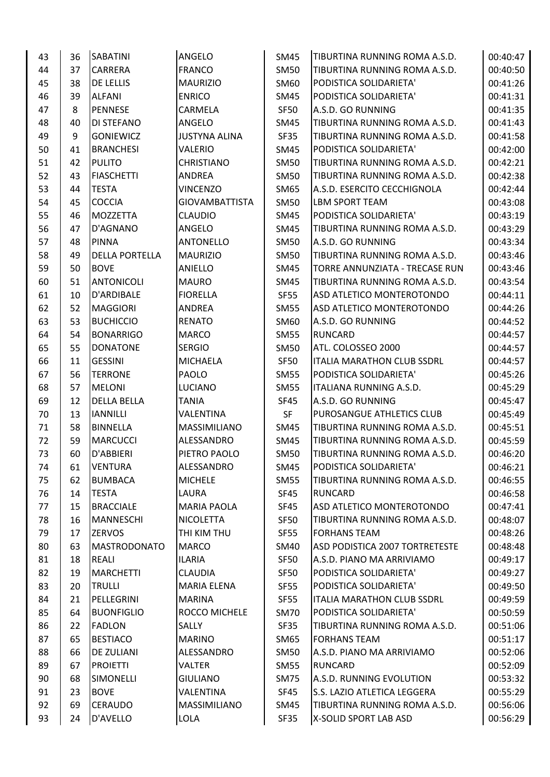| 43 | 36 | SABATINI              | ANGELO                | <b>SM45</b> | TIBURTINA RUNNING ROMA A.S.D.      | 00:40:47 |
|----|----|-----------------------|-----------------------|-------------|------------------------------------|----------|
| 44 | 37 | CARRERA               | <b>FRANCO</b>         | <b>SM50</b> | TIBURTINA RUNNING ROMA A.S.D.      | 00:40:50 |
| 45 | 38 | DE LELLIS             | <b>MAURIZIO</b>       | SM60        | PODISTICA SOLIDARIETA'             | 00:41:26 |
| 46 | 39 | <b>ALFANI</b>         | <b>ENRICO</b>         | <b>SM45</b> | PODISTICA SOLIDARIETA'             | 00:41:31 |
| 47 | 8  | PENNESE               | CARMELA               | <b>SF50</b> | A.S.D. GO RUNNING                  | 00:41:35 |
| 48 | 40 | DI STEFANO            | <b>ANGELO</b>         | <b>SM45</b> | TIBURTINA RUNNING ROMA A.S.D.      | 00:41:43 |
| 49 | 9  | <b>GONIEWICZ</b>      | <b>JUSTYNA ALINA</b>  | SF35        | TIBURTINA RUNNING ROMA A.S.D.      | 00:41:58 |
| 50 | 41 | <b>BRANCHESI</b>      | VALERIO               | <b>SM45</b> | PODISTICA SOLIDARIETA'             | 00:42:00 |
| 51 | 42 | <b>PULITO</b>         | <b>CHRISTIANO</b>     | <b>SM50</b> | TIBURTINA RUNNING ROMA A.S.D.      | 00:42:21 |
| 52 | 43 | <b>FIASCHETTI</b>     | <b>ANDREA</b>         | <b>SM50</b> | TIBURTINA RUNNING ROMA A.S.D.      | 00:42:38 |
| 53 | 44 | <b>TESTA</b>          | <b>VINCENZO</b>       | <b>SM65</b> | A.S.D. ESERCITO CECCHIGNOLA        | 00:42:44 |
| 54 | 45 | <b>COCCIA</b>         | <b>GIOVAMBATTISTA</b> | <b>SM50</b> | <b>LBM SPORT TEAM</b>              | 00:43:08 |
| 55 | 46 | MOZZETTA              | <b>CLAUDIO</b>        | <b>SM45</b> | PODISTICA SOLIDARIETA'             | 00:43:19 |
| 56 | 47 | D'AGNANO              | ANGELO                | <b>SM45</b> | TIBURTINA RUNNING ROMA A.S.D.      | 00:43:29 |
| 57 | 48 | <b>PINNA</b>          | <b>ANTONELLO</b>      | <b>SM50</b> | A.S.D. GO RUNNING                  | 00:43:34 |
| 58 | 49 | <b>DELLA PORTELLA</b> | <b>MAURIZIO</b>       | <b>SM50</b> | TIBURTINA RUNNING ROMA A.S.D.      | 00:43:46 |
| 59 | 50 | <b>BOVE</b>           | <b>ANIELLO</b>        | <b>SM45</b> | TORRE ANNUNZIATA - TRECASE RUN     | 00:43:46 |
| 60 | 51 | <b>ANTONICOLI</b>     | <b>MAURO</b>          | <b>SM45</b> | TIBURTINA RUNNING ROMA A.S.D.      | 00:43:54 |
| 61 | 10 | D'ARDIBALE            | <b>FIORELLA</b>       | <b>SF55</b> | ASD ATLETICO MONTEROTONDO          | 00:44:11 |
| 62 | 52 | <b>MAGGIORI</b>       | <b>ANDREA</b>         | <b>SM55</b> | ASD ATLETICO MONTEROTONDO          | 00:44:26 |
| 63 | 53 | <b>BUCHICCIO</b>      | <b>RENATO</b>         | SM60        | A.S.D. GO RUNNING                  | 00:44:52 |
| 64 | 54 | <b>BONARRIGO</b>      | <b>MARCO</b>          | <b>SM55</b> | <b>RUNCARD</b>                     | 00:44:57 |
| 65 | 55 | <b>DONATONE</b>       | <b>SERGIO</b>         | <b>SM50</b> | ATL. COLOSSEO 2000                 | 00:44:57 |
| 66 | 11 | <b>GESSINI</b>        | <b>MICHAELA</b>       | <b>SF50</b> | <b>ITALIA MARATHON CLUB SSDRL</b>  | 00:44:57 |
| 67 | 56 | <b>TERRONE</b>        | <b>PAOLO</b>          | <b>SM55</b> | PODISTICA SOLIDARIETA'             | 00:45:26 |
| 68 | 57 | <b>MELONI</b>         | <b>LUCIANO</b>        | <b>SM55</b> | ITALIANA RUNNING A.S.D.            | 00:45:29 |
| 69 | 12 | <b>DELLA BELLA</b>    | <b>TANIA</b>          | <b>SF45</b> | A.S.D. GO RUNNING                  | 00:45:47 |
| 70 | 13 | <b>IANNILLI</b>       | VALENTINA             | SF          | PUROSANGUE ATHLETICS CLUB          | 00:45:49 |
| 71 | 58 | <b>BINNELLA</b>       | MASSIMILIANO          | <b>SM45</b> | TIBURTINA RUNNING ROMA A.S.D.      | 00:45:51 |
| 72 | 59 | <b>MARCUCCI</b>       | ALESSANDRO            | <b>SM45</b> | TIBURTINA RUNNING ROMA A.S.D.      | 00:45:59 |
| 73 | 60 | D'ABBIERI             | PIETRO PAOLO          | <b>SM50</b> | TIBURTINA RUNNING ROMA A.S.D.      | 00:46:20 |
| 74 | 61 | VENTURA               | ALESSANDRO            | SM45        | PODISTICA SOLIDARIETA'             | 00:46:21 |
| 75 | 62 | <b>BUMBACA</b>        | <b>MICHELE</b>        | <b>SM55</b> | TIBURTINA RUNNING ROMA A.S.D.      | 00:46:55 |
| 76 | 14 | <b>TESTA</b>          | LAURA                 | SF45        | <b>RUNCARD</b>                     | 00:46:58 |
| 77 | 15 | <b>BRACCIALE</b>      | <b>MARIA PAOLA</b>    | SF45        | ASD ATLETICO MONTEROTONDO          | 00:47:41 |
| 78 | 16 | <b>MANNESCHI</b>      | <b>NICOLETTA</b>      | SF50        | TIBURTINA RUNNING ROMA A.S.D.      | 00:48:07 |
| 79 | 17 | <b>ZERVOS</b>         | THI KIM THU           | <b>SF55</b> | <b>FORHANS TEAM</b>                | 00:48:26 |
| 80 | 63 | <b>MASTRODONATO</b>   | <b>MARCO</b>          | SM40        | ASD PODISTICA 2007 TORTRETESTE     | 00:48:48 |
| 81 | 18 | REALI                 | <b>ILARIA</b>         | <b>SF50</b> | A.S.D. PIANO MA ARRIVIAMO          | 00:49:17 |
| 82 | 19 | <b>MARCHETTI</b>      | <b>CLAUDIA</b>        | <b>SF50</b> | PODISTICA SOLIDARIETA'             | 00:49:27 |
| 83 | 20 | <b>TRULLI</b>         | <b>MARIA ELENA</b>    | SF55        | PODISTICA SOLIDARIETA'             | 00:49:50 |
| 84 | 21 | PELLEGRINI            | <b>MARINA</b>         | <b>SF55</b> | <b>ITALIA MARATHON CLUB SSDRL</b>  | 00:49:59 |
| 85 | 64 | <b>BUONFIGLIO</b>     | ROCCO MICHELE         | <b>SM70</b> | PODISTICA SOLIDARIETA'             | 00:50:59 |
| 86 | 22 | <b>FADLON</b>         | SALLY                 | SF35        | TIBURTINA RUNNING ROMA A.S.D.      | 00:51:06 |
| 87 | 65 | <b>BESTIACO</b>       | <b>MARINO</b>         | SM65        | <b>FORHANS TEAM</b>                | 00:51:17 |
| 88 | 66 | DE ZULIANI            | ALESSANDRO            | SM50        | A.S.D. PIANO MA ARRIVIAMO          | 00:52:06 |
| 89 | 67 | <b>PROIETTI</b>       | <b>VALTER</b>         | <b>SM55</b> | <b>RUNCARD</b>                     | 00:52:09 |
| 90 | 68 | <b>SIMONELLI</b>      | <b>GIULIANO</b>       | <b>SM75</b> | A.S.D. RUNNING EVOLUTION           | 00:53:32 |
| 91 | 23 | <b>BOVE</b>           | <b>VALENTINA</b>      | SF45        | <b>S.S. LAZIO ATLETICA LEGGERA</b> | 00:55:29 |
| 92 | 69 | <b>CERAUDO</b>        | MASSIMILIANO          | SM45        | TIBURTINA RUNNING ROMA A.S.D.      | 00:56:06 |
| 93 | 24 | D'AVELLO              | LOLA                  | SF35        | X-SOLID SPORT LAB ASD              | 00:56:29 |